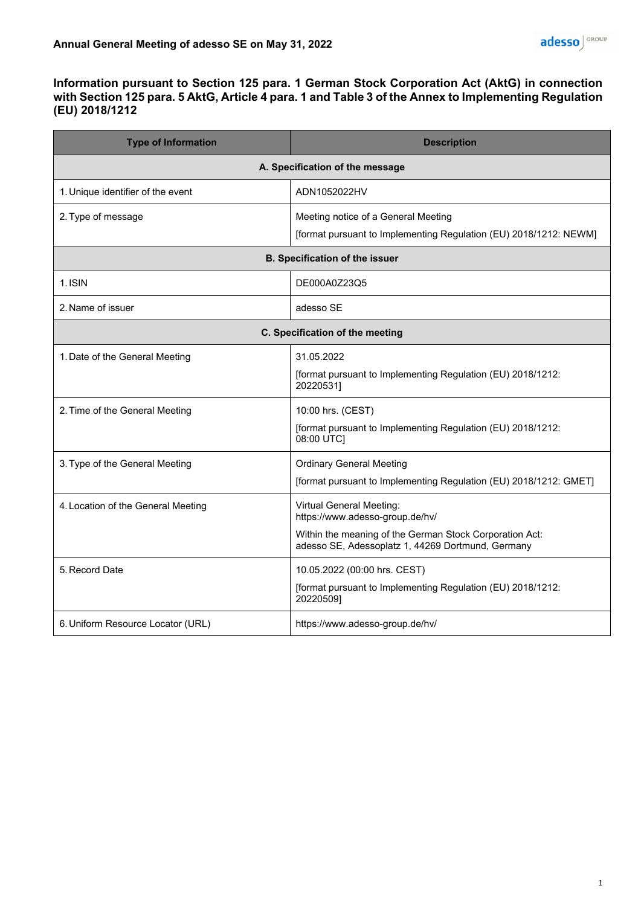## **Information pursuant to Section 125 para. 1 German Stock Corporation Act (AktG) in connection with Section 125 para. 5 AktG, Article 4 para. 1 and Table 3 of the Annex to Implementing Regulation (EU) 2018/1212**

| <b>Type of Information</b>            | <b>Description</b>                                                                                           |
|---------------------------------------|--------------------------------------------------------------------------------------------------------------|
| A. Specification of the message       |                                                                                                              |
| 1. Unique identifier of the event     | ADN1052022HV                                                                                                 |
| 2. Type of message                    | Meeting notice of a General Meeting                                                                          |
|                                       | [format pursuant to Implementing Regulation (EU) 2018/1212: NEWM]                                            |
| <b>B. Specification of the issuer</b> |                                                                                                              |
| 1. ISIN                               | DE000A0Z23Q5                                                                                                 |
| 2. Name of issuer                     | adesso SE                                                                                                    |
| C. Specification of the meeting       |                                                                                                              |
| 1. Date of the General Meeting        | 31.05.2022                                                                                                   |
|                                       | [format pursuant to Implementing Regulation (EU) 2018/1212:<br>20220531]                                     |
| 2. Time of the General Meeting        | 10:00 hrs. (CEST)                                                                                            |
|                                       | [format pursuant to Implementing Regulation (EU) 2018/1212:<br>08:00 UTC]                                    |
| 3. Type of the General Meeting        | <b>Ordinary General Meeting</b>                                                                              |
|                                       | [format pursuant to Implementing Regulation (EU) 2018/1212: GMET]                                            |
| 4. Location of the General Meeting    | <b>Virtual General Meeting:</b><br>https://www.adesso-group.de/hv/                                           |
|                                       | Within the meaning of the German Stock Corporation Act:<br>adesso SE, Adessoplatz 1, 44269 Dortmund, Germany |
| 5. Record Date                        | 10.05.2022 (00:00 hrs. CEST)                                                                                 |
|                                       | [format pursuant to Implementing Regulation (EU) 2018/1212:<br>20220509]                                     |
| 6. Uniform Resource Locator (URL)     | https://www.adesso-group.de/hv/                                                                              |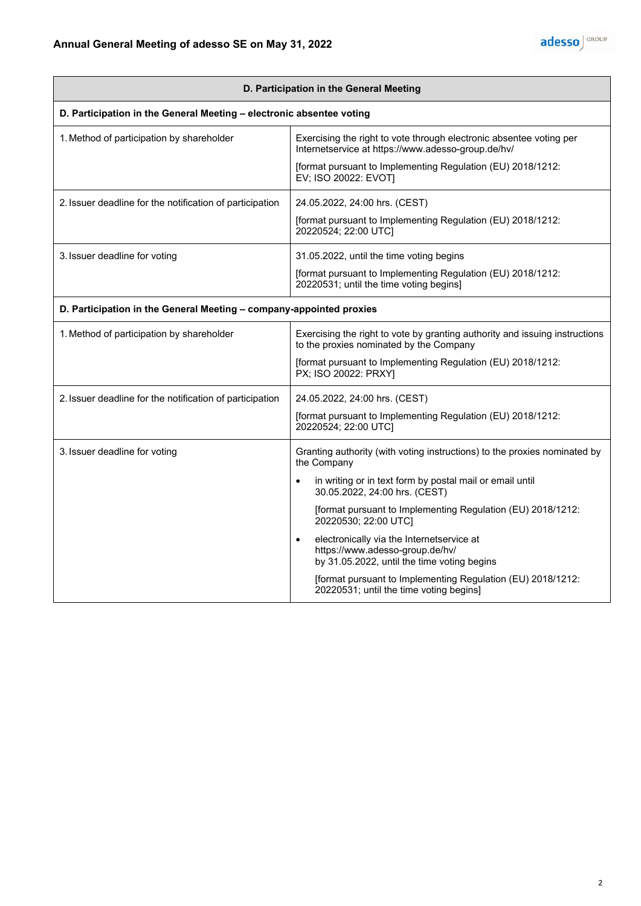| D. Participation in the General Meeting                              |                                                                                                                             |
|----------------------------------------------------------------------|-----------------------------------------------------------------------------------------------------------------------------|
| D. Participation in the General Meeting - electronic absentee voting |                                                                                                                             |
| 1. Method of participation by shareholder                            | Exercising the right to vote through electronic absentee voting per<br>Internetservice at https://www.adesso-group.de/hv/   |
|                                                                      | [format pursuant to Implementing Regulation (EU) 2018/1212:<br>EV; ISO 20022: EVOT]                                         |
| 2. Issuer deadline for the notification of participation             | 24.05.2022, 24:00 hrs. (CEST)                                                                                               |
|                                                                      | [format pursuant to Implementing Regulation (EU) 2018/1212:<br>20220524; 22:00 UTC]                                         |
| 3. Issuer deadline for voting                                        | 31.05.2022, until the time voting begins                                                                                    |
|                                                                      | [format pursuant to Implementing Regulation (EU) 2018/1212:<br>20220531; until the time voting begins]                      |
| D. Participation in the General Meeting - company-appointed proxies  |                                                                                                                             |
| 1. Method of participation by shareholder                            | Exercising the right to vote by granting authority and issuing instructions<br>to the proxies nominated by the Company      |
|                                                                      | [format pursuant to Implementing Regulation (EU) 2018/1212:<br>PX; ISO 20022: PRXY]                                         |
| 2. Issuer deadline for the notification of participation             | 24.05.2022, 24:00 hrs. (CEST)                                                                                               |
|                                                                      | [format pursuant to Implementing Regulation (EU) 2018/1212:<br>20220524; 22:00 UTC]                                         |
| 3. Issuer deadline for voting                                        | Granting authority (with voting instructions) to the proxies nominated by<br>the Company                                    |
|                                                                      | in writing or in text form by postal mail or email until<br>30.05.2022, 24:00 hrs. (CEST)                                   |
|                                                                      | [format pursuant to Implementing Regulation (EU) 2018/1212:<br>20220530; 22:00 UTC]                                         |
|                                                                      | electronically via the Internetservice at<br>https://www.adesso-group.de/hv/<br>by 31.05.2022, until the time voting begins |
|                                                                      | [format pursuant to Implementing Regulation (EU) 2018/1212:<br>20220531; until the time voting begins]                      |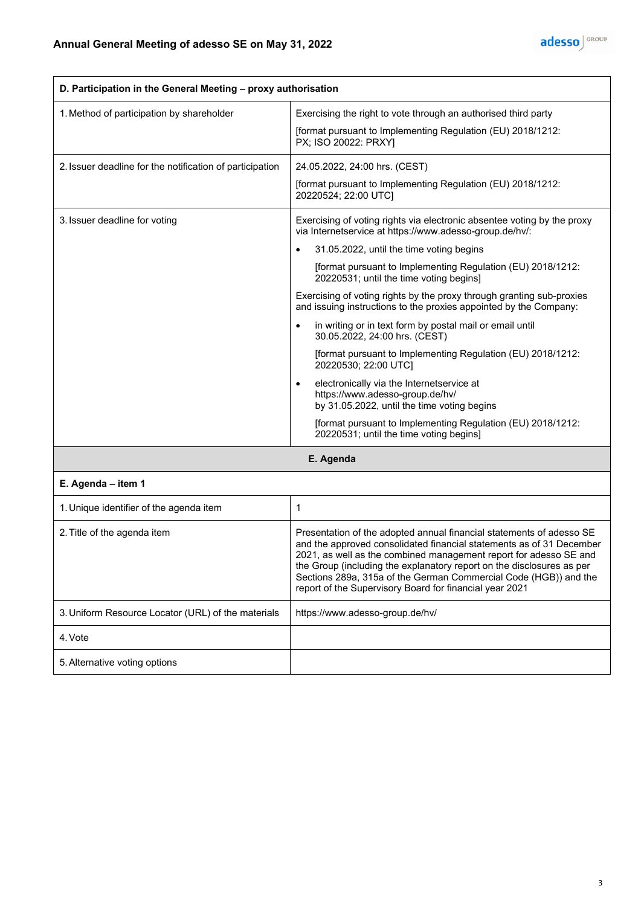

| D. Participation in the General Meeting - proxy authorisation |                                                                                                                                                                                                                                                                                                                                                                                                                                                                                                                                                                                                                                                                                                                                                                                                                                                                     |
|---------------------------------------------------------------|---------------------------------------------------------------------------------------------------------------------------------------------------------------------------------------------------------------------------------------------------------------------------------------------------------------------------------------------------------------------------------------------------------------------------------------------------------------------------------------------------------------------------------------------------------------------------------------------------------------------------------------------------------------------------------------------------------------------------------------------------------------------------------------------------------------------------------------------------------------------|
| 1. Method of participation by shareholder                     | Exercising the right to vote through an authorised third party<br>[format pursuant to Implementing Regulation (EU) 2018/1212:<br>PX; ISO 20022: PRXYI                                                                                                                                                                                                                                                                                                                                                                                                                                                                                                                                                                                                                                                                                                               |
| 2. Issuer deadline for the notification of participation      | 24.05.2022, 24:00 hrs. (CEST)<br>[format pursuant to Implementing Regulation (EU) 2018/1212:<br>20220524; 22:00 UTC]                                                                                                                                                                                                                                                                                                                                                                                                                                                                                                                                                                                                                                                                                                                                                |
| 3. Issuer deadline for voting                                 | Exercising of voting rights via electronic absentee voting by the proxy<br>via Internetservice at https://www.adesso-group.de/hv/:<br>31.05.2022, until the time voting begins<br>[format pursuant to Implementing Regulation (EU) 2018/1212:<br>20220531; until the time voting begins]<br>Exercising of voting rights by the proxy through granting sub-proxies<br>and issuing instructions to the proxies appointed by the Company:<br>in writing or in text form by postal mail or email until<br>30.05.2022, 24:00 hrs. (CEST)<br>[format pursuant to Implementing Regulation (EU) 2018/1212:<br>20220530; 22:00 UTCI<br>electronically via the Internetservice at<br>https://www.adesso-group.de/hv/<br>by 31.05.2022, until the time voting begins<br>[format pursuant to Implementing Regulation (EU) 2018/1212:<br>20220531; until the time voting begins] |

**E. Agenda**

## **E. Agenda – item 1**

| 1. Unique identifier of the agenda item            |                                                                                                                                                                                                                                                                                                                                                                                                                           |
|----------------------------------------------------|---------------------------------------------------------------------------------------------------------------------------------------------------------------------------------------------------------------------------------------------------------------------------------------------------------------------------------------------------------------------------------------------------------------------------|
| 2. Title of the agenda item                        | Presentation of the adopted annual financial statements of adesso SE<br>and the approved consolidated financial statements as of 31 December<br>2021, as well as the combined management report for adesso SE and<br>the Group (including the explanatory report on the disclosures as per<br>Sections 289a, 315a of the German Commercial Code (HGB)) and the<br>report of the Supervisory Board for financial year 2021 |
| 3. Uniform Resource Locator (URL) of the materials | https://www.adesso-group.de/hv/                                                                                                                                                                                                                                                                                                                                                                                           |
| 4. Vote                                            |                                                                                                                                                                                                                                                                                                                                                                                                                           |
| 5. Alternative voting options                      |                                                                                                                                                                                                                                                                                                                                                                                                                           |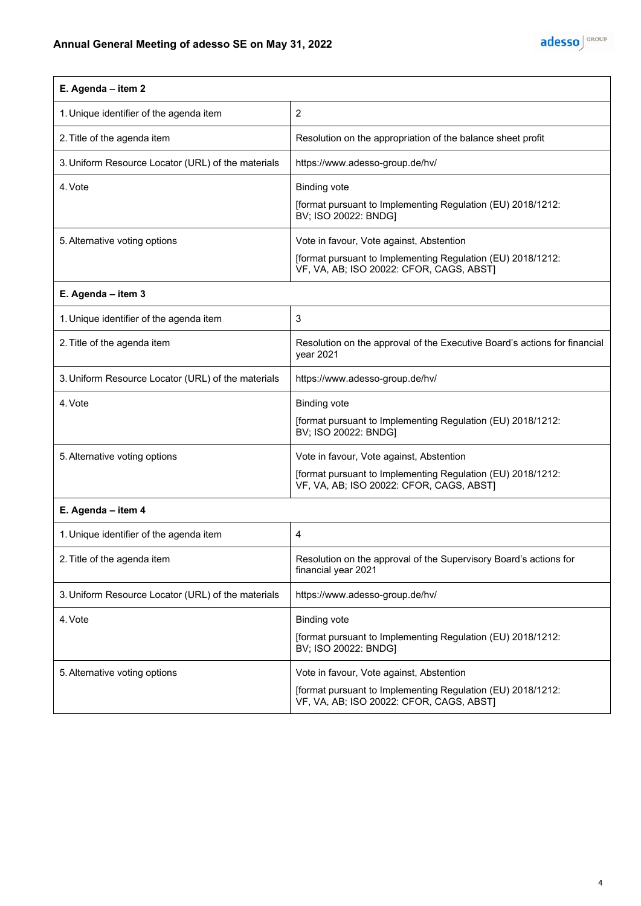| E. Agenda - item 2                                 |                                                                                                         |  |
|----------------------------------------------------|---------------------------------------------------------------------------------------------------------|--|
| 1. Unique identifier of the agenda item            | $\overline{c}$                                                                                          |  |
| 2. Title of the agenda item                        | Resolution on the appropriation of the balance sheet profit                                             |  |
| 3. Uniform Resource Locator (URL) of the materials | https://www.adesso-group.de/hv/                                                                         |  |
| 4. Vote                                            | <b>Binding vote</b>                                                                                     |  |
|                                                    | [format pursuant to Implementing Regulation (EU) 2018/1212:<br>BV; ISO 20022: BNDG]                     |  |
| 5. Alternative voting options                      | Vote in favour, Vote against, Abstention                                                                |  |
|                                                    | [format pursuant to Implementing Regulation (EU) 2018/1212:<br>VF, VA, AB; ISO 20022: CFOR, CAGS, ABST) |  |
| E. Agenda - item 3                                 |                                                                                                         |  |
| 1. Unique identifier of the agenda item            | 3                                                                                                       |  |
| 2. Title of the agenda item                        | Resolution on the approval of the Executive Board's actions for financial<br>year 2021                  |  |
| 3. Uniform Resource Locator (URL) of the materials | https://www.adesso-group.de/hv/                                                                         |  |
| 4. Vote                                            | <b>Binding vote</b>                                                                                     |  |
|                                                    | [format pursuant to Implementing Regulation (EU) 2018/1212:<br>BV; ISO 20022: BNDG]                     |  |
| 5. Alternative voting options                      | Vote in favour, Vote against, Abstention                                                                |  |
|                                                    | [format pursuant to Implementing Regulation (EU) 2018/1212:<br>VF, VA, AB; ISO 20022: CFOR, CAGS, ABST] |  |
| E. Agenda - item 4                                 |                                                                                                         |  |
| 1. Unique identifier of the agenda item            | 4                                                                                                       |  |
| 2. Title of the agenda item                        | Resolution on the approval of the Supervisory Board's actions for<br>financial year 2021                |  |
| 3. Uniform Resource Locator (URL) of the materials | https://www.adesso-group.de/hv/                                                                         |  |
| 4. Vote                                            | <b>Binding vote</b>                                                                                     |  |
|                                                    | [format pursuant to Implementing Regulation (EU) 2018/1212:<br>BV; ISO 20022: BNDG]                     |  |
| 5. Alternative voting options                      | Vote in favour, Vote against, Abstention                                                                |  |
|                                                    | [format pursuant to Implementing Regulation (EU) 2018/1212:<br>VF, VA, AB; ISO 20022: CFOR, CAGS, ABST] |  |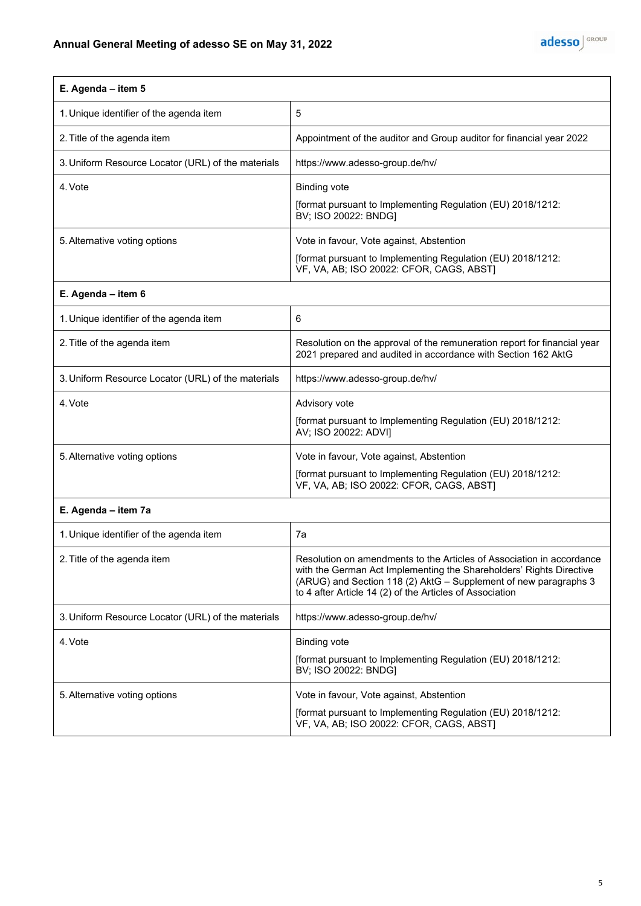| E. Agenda - item 5                                 |                                                                                                                                                                                                                                                                              |
|----------------------------------------------------|------------------------------------------------------------------------------------------------------------------------------------------------------------------------------------------------------------------------------------------------------------------------------|
| 1. Unique identifier of the agenda item            | 5                                                                                                                                                                                                                                                                            |
| 2. Title of the agenda item                        | Appointment of the auditor and Group auditor for financial year 2022                                                                                                                                                                                                         |
| 3. Uniform Resource Locator (URL) of the materials | https://www.adesso-group.de/hv/                                                                                                                                                                                                                                              |
| 4. Vote                                            | <b>Binding vote</b>                                                                                                                                                                                                                                                          |
|                                                    | [format pursuant to Implementing Regulation (EU) 2018/1212:<br>BV; ISO 20022: BNDG]                                                                                                                                                                                          |
| 5. Alternative voting options                      | Vote in favour, Vote against, Abstention                                                                                                                                                                                                                                     |
|                                                    | [format pursuant to Implementing Regulation (EU) 2018/1212:<br>VF, VA, AB; ISO 20022: CFOR, CAGS, ABST]                                                                                                                                                                      |
| E. Agenda - item 6                                 |                                                                                                                                                                                                                                                                              |
| 1. Unique identifier of the agenda item            | 6                                                                                                                                                                                                                                                                            |
| 2. Title of the agenda item                        | Resolution on the approval of the remuneration report for financial year<br>2021 prepared and audited in accordance with Section 162 AktG                                                                                                                                    |
| 3. Uniform Resource Locator (URL) of the materials | https://www.adesso-group.de/hv/                                                                                                                                                                                                                                              |
| 4. Vote                                            | Advisory vote                                                                                                                                                                                                                                                                |
|                                                    | [format pursuant to Implementing Regulation (EU) 2018/1212:<br>AV; ISO 20022: ADVI]                                                                                                                                                                                          |
| 5. Alternative voting options                      | Vote in favour, Vote against, Abstention                                                                                                                                                                                                                                     |
|                                                    | [format pursuant to Implementing Regulation (EU) 2018/1212:<br>VF, VA, AB; ISO 20022: CFOR, CAGS, ABST]                                                                                                                                                                      |
| E. Agenda - item 7a                                |                                                                                                                                                                                                                                                                              |
| 1. Unique identifier of the agenda item            | 7a                                                                                                                                                                                                                                                                           |
| 2. Title of the agenda item                        | Resolution on amendments to the Articles of Association in accordance<br>with the German Act Implementing the Shareholders' Rights Directive<br>(ARUG) and Section 118 (2) AktG - Supplement of new paragraphs 3<br>to 4 after Article 14 (2) of the Articles of Association |
| 3. Uniform Resource Locator (URL) of the materials | https://www.adesso-group.de/hv/                                                                                                                                                                                                                                              |
| 4. Vote                                            | <b>Binding vote</b>                                                                                                                                                                                                                                                          |
|                                                    | [format pursuant to Implementing Regulation (EU) 2018/1212:<br>BV; ISO 20022: BNDG]                                                                                                                                                                                          |
| 5. Alternative voting options                      | Vote in favour, Vote against, Abstention                                                                                                                                                                                                                                     |
|                                                    | [format pursuant to Implementing Regulation (EU) 2018/1212:<br>VF, VA, AB; ISO 20022: CFOR, CAGS, ABST]                                                                                                                                                                      |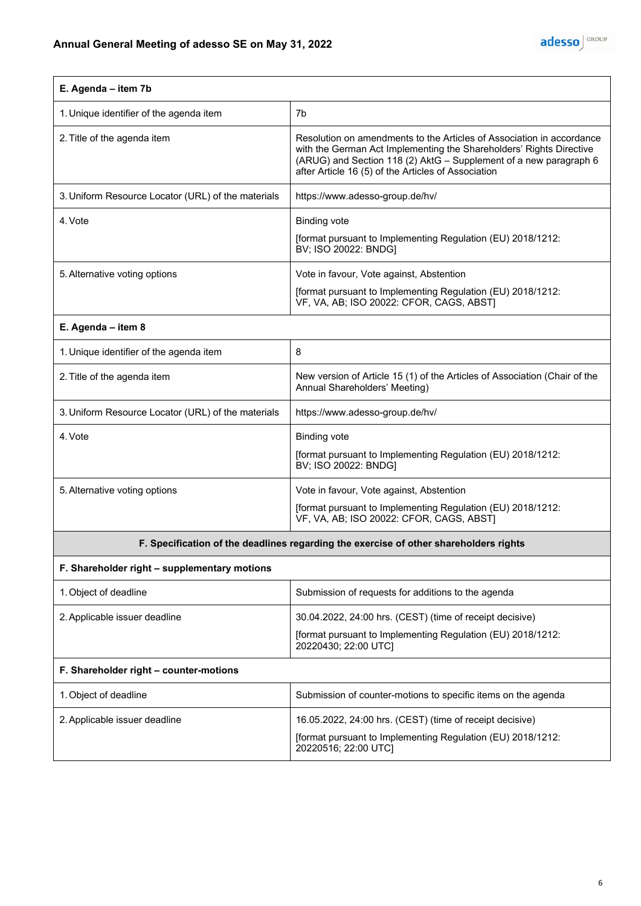

| E. Agenda - item 7b                                |                                                                                                                                                                                                                                                                          |
|----------------------------------------------------|--------------------------------------------------------------------------------------------------------------------------------------------------------------------------------------------------------------------------------------------------------------------------|
| 1. Unique identifier of the agenda item            | 7b                                                                                                                                                                                                                                                                       |
| 2. Title of the agenda item                        | Resolution on amendments to the Articles of Association in accordance<br>with the German Act Implementing the Shareholders' Rights Directive<br>(ARUG) and Section 118 (2) AktG - Supplement of a new paragraph 6<br>after Article 16 (5) of the Articles of Association |
| 3. Uniform Resource Locator (URL) of the materials | https://www.adesso-group.de/hv/                                                                                                                                                                                                                                          |
| 4. Vote                                            | <b>Binding vote</b><br>[format pursuant to Implementing Regulation (EU) 2018/1212:<br>BV; ISO 20022: BNDG]                                                                                                                                                               |
| 5. Alternative voting options                      | Vote in favour, Vote against, Abstention                                                                                                                                                                                                                                 |
|                                                    | [format pursuant to Implementing Regulation (EU) 2018/1212:<br>VF, VA, AB; ISO 20022: CFOR, CAGS, ABST]                                                                                                                                                                  |
| E. Agenda - item 8                                 |                                                                                                                                                                                                                                                                          |
| 1. Unique identifier of the agenda item            | 8                                                                                                                                                                                                                                                                        |
| 2. Title of the agenda item                        | New version of Article 15 (1) of the Articles of Association (Chair of the<br>Annual Shareholders' Meeting)                                                                                                                                                              |
| 3. Uniform Resource Locator (URL) of the materials | https://www.adesso-group.de/hv/                                                                                                                                                                                                                                          |
| 4. Vote                                            | <b>Binding vote</b>                                                                                                                                                                                                                                                      |
|                                                    | [format pursuant to Implementing Regulation (EU) 2018/1212:<br>BV; ISO 20022: BNDG]                                                                                                                                                                                      |
| 5. Alternative voting options                      | Vote in favour, Vote against, Abstention                                                                                                                                                                                                                                 |
|                                                    | [format pursuant to Implementing Regulation (EU) 2018/1212:<br>VF, VA, AB; ISO 20022: CFOR, CAGS, ABST]                                                                                                                                                                  |
|                                                    | F. Specification of the deadlines regarding the exercise of other shareholders rights                                                                                                                                                                                    |
| F. Shareholder right - supplementary motions       |                                                                                                                                                                                                                                                                          |
| 1. Object of deadline                              | Submission of requests for additions to the agenda                                                                                                                                                                                                                       |
| 2. Applicable issuer deadline                      | 30.04.2022, 24:00 hrs. (CEST) (time of receipt decisive)                                                                                                                                                                                                                 |
|                                                    | [format pursuant to Implementing Regulation (EU) 2018/1212:<br>20220430; 22:00 UTC]                                                                                                                                                                                      |
| F. Shareholder right - counter-motions             |                                                                                                                                                                                                                                                                          |
| 1. Object of deadline                              | Submission of counter-motions to specific items on the agenda                                                                                                                                                                                                            |
| 2. Applicable issuer deadline                      | 16.05.2022, 24:00 hrs. (CEST) (time of receipt decisive)                                                                                                                                                                                                                 |
|                                                    | [format pursuant to Implementing Regulation (EU) 2018/1212:<br>20220516; 22:00 UTC]                                                                                                                                                                                      |